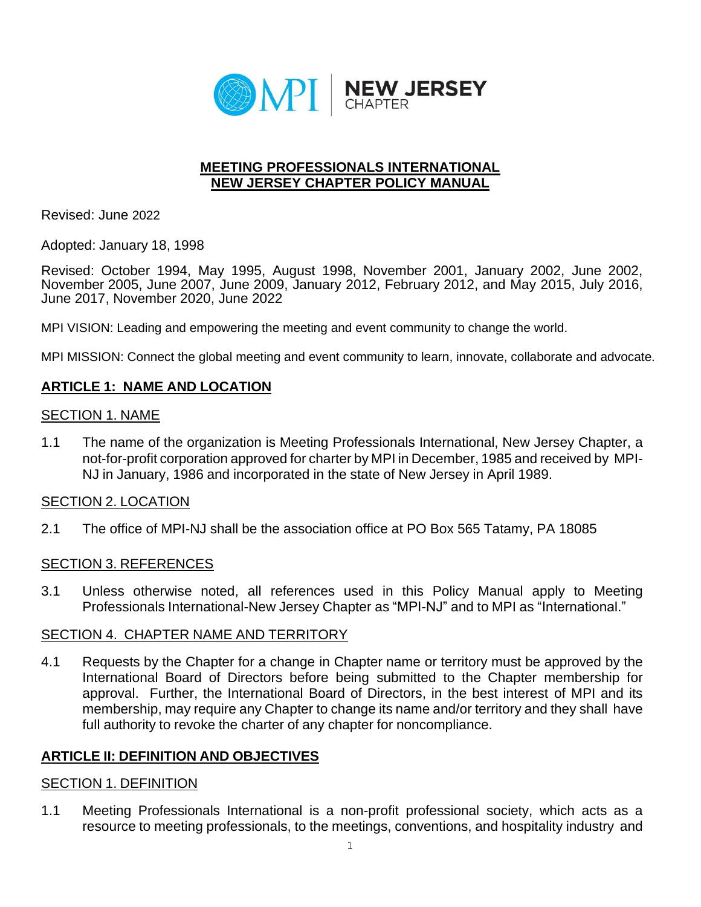

## **MEETING PROFESSIONALS INTERNATIONAL NEW JERSEY CHAPTER POLICY MANUAL**

Revised: June 2022

Adopted: January 18, 1998

Revised: October 1994, May 1995, August 1998, November 2001, January 2002, June 2002, November 2005, June 2007, June 2009, January 2012, February 2012, and May 2015, July 2016, June 2017, November 2020, June 2022

MPI VISION: Leading and empowering the meeting and event community to change the world.

MPI MISSION: Connect the global meeting and event community to learn, innovate, collaborate and advocate.

# **ARTICLE 1: NAME AND LOCATION**

### SECTION 1. NAME

1.1 The name of the organization is Meeting Professionals International, New Jersey Chapter, a not-for-profit corporation approved for charter by MPI in December, 1985 and received by MPI-NJ in January, 1986 and incorporated in the state of New Jersey in April 1989.

### SECTION 2. LOCATION

2.1 The office of MPI-NJ shall be the association office at PO Box 565 Tatamy, PA 18085

## SECTION 3. REFERENCES

3.1 Unless otherwise noted, all references used in this Policy Manual apply to Meeting Professionals International-New Jersey Chapter as "MPI-NJ" and to MPI as "International."

### SECTION 4. CHAPTER NAME AND TERRITORY

4.1 Requests by the Chapter for a change in Chapter name or territory must be approved by the International Board of Directors before being submitted to the Chapter membership for approval. Further, the International Board of Directors, in the best interest of MPI and its membership, may require any Chapter to change its name and/or territory and they shall have full authority to revoke the charter of any chapter for noncompliance.

## **ARTICLE II: DEFINITION AND OBJECTIVES**

## SECTION 1. DEFINITION

1.1 Meeting Professionals International is a non-profit professional society, which acts as a resource to meeting professionals, to the meetings, conventions, and hospitality industry and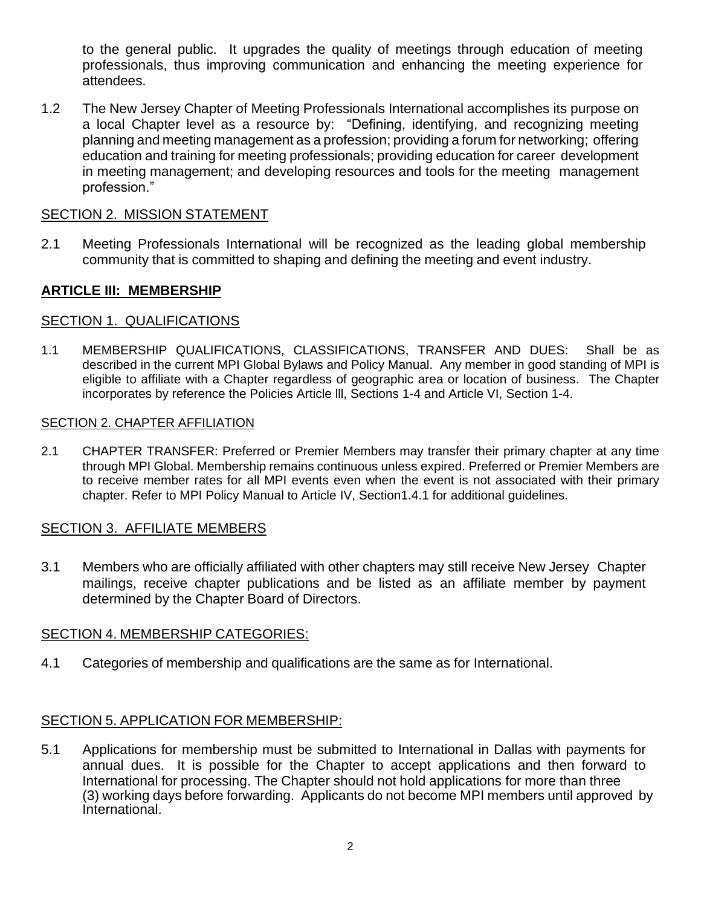to the general public. It upgrades the quality of meetings through education of meeting professionals, thus improving communication and enhancing the meeting experience for attendees.

1.2 The New Jersey Chapter of Meeting Professionals International accomplishes its purpose on a local Chapter level as a resource by: "Defining, identifying, and recognizing meeting planning and meeting management as a profession; providing a forum for networking; offering education and training for meeting professionals; providing education for career development in meeting management; and developing resources and tools for the meeting management profession."

## SECTION 2. MISSION STATEMENT

2.1 Meeting Professionals International will be recognized as the leading global membership community that is committed to shaping and defining the meeting and event industry.

## **ARTICLE III: MEMBERSHIP**

### SECTION 1. QUALIFICATIONS

1.1 MEMBERSHIP QUALIFICATIONS, CLASSIFICATIONS, TRANSFER AND DUES: Shall be as described in the current MPI Global Bylaws and Policy Manual. Any member in good standing of MPI is eligible to affiliate with a Chapter regardless of geographic area or location of business. The Chapter incorporates by reference the Policies Article lll, Sections 1-4 and Article VI, Section 1-4.

#### SECTION 2. CHAPTER AFFILIATION

2.1 CHAPTER TRANSFER: Preferred or Premier Members may transfer their primary chapter at any time through MPI Global. Membership remains continuous unless expired. Preferred or Premier Members are to receive member rates for all MPI events even when the event is not associated with their primary chapter. Refer to MPI Policy Manual to Article IV, Section1.4.1 for additional guidelines.

### SECTION 3. AFFILIATE MEMBERS

3.1 Members who are officially affiliated with other chapters may still receive New Jersey Chapter mailings, receive chapter publications and be listed as an affiliate member by payment determined by the Chapter Board of Directors.

### SECTION 4. MEMBERSHIP CATEGORIES:

4.1 Categories of membership and qualifications are the same as for International.

## SECTION 5. APPLICATION FOR MEMBERSHIP:

5.1 Applications for membership must be submitted to International in Dallas with payments for annual dues. It is possible for the Chapter to accept applications and then forward to International for processing. The Chapter should not hold applications for more than three (3) working days before forwarding. Applicants do not become MPI members until approved by International.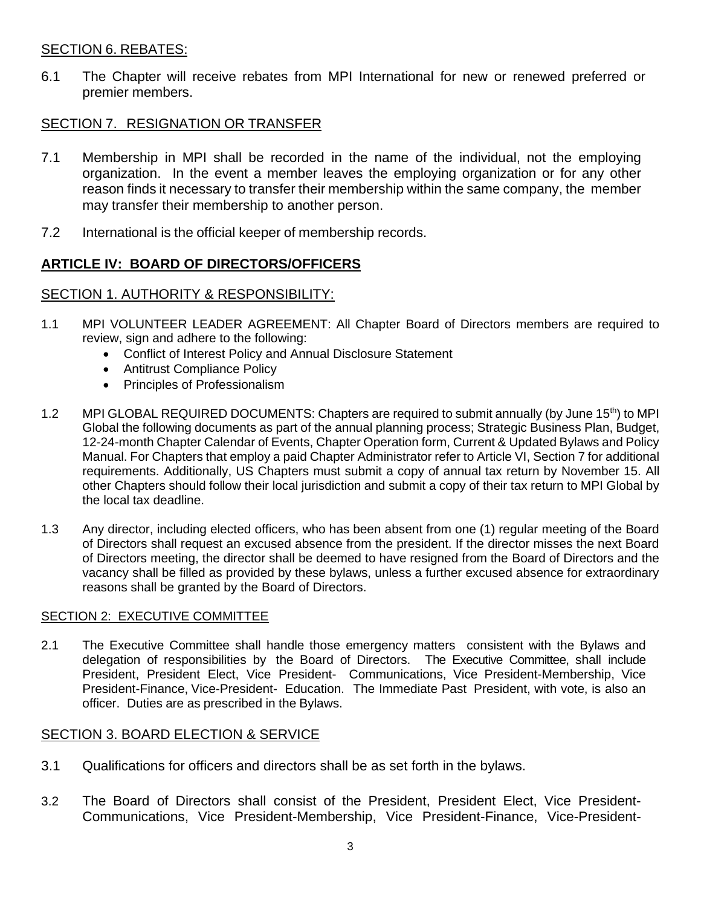## SECTION 6. REBATES:

6.1 The Chapter will receive rebates from MPI International for new or renewed preferred or premier members.

## SECTION 7. RESIGNATION OR TRANSFER

- 7.1 Membership in MPI shall be recorded in the name of the individual, not the employing organization. In the event a member leaves the employing organization or for any other reason finds it necessary to transfer their membership within the same company, the member may transfer their membership to another person.
- 7.2 International is the official keeper of membership records.

# **ARTICLE IV: BOARD OF DIRECTORS/OFFICERS**

## SECTION 1. AUTHORITY & RESPONSIBILITY:

- 1.1 MPI VOLUNTEER LEADER AGREEMENT: All Chapter Board of Directors members are required to review, sign and adhere to the following:
	- Conflict of Interest Policy and Annual Disclosure Statement
	- Antitrust Compliance Policy
	- Principles of Professionalism
- 1.2 MPI GLOBAL REQUIRED DOCUMENTS: Chapters are required to submit annually (by June 15<sup>th</sup>) to MPI Global the following documents as part of the annual planning process; Strategic Business Plan, Budget, 12-24-month Chapter Calendar of Events, Chapter Operation form, Current & Updated Bylaws and Policy Manual. For Chapters that employ a paid Chapter Administrator refer to Article VI, Section 7 for additional requirements. Additionally, US Chapters must submit a copy of annual tax return by November 15. All other Chapters should follow their local jurisdiction and submit a copy of their tax return to MPI Global by the local tax deadline.
- 1.3 Any director, including elected officers, who has been absent from one (1) regular meeting of the Board of Directors shall request an excused absence from the president. If the director misses the next Board of Directors meeting, the director shall be deemed to have resigned from the Board of Directors and the vacancy shall be filled as provided by these bylaws, unless a further excused absence for extraordinary reasons shall be granted by the Board of Directors.

### SECTION 2: EXECUTIVE COMMITTEE

2.1 The Executive Committee shall handle those emergency matters consistent with the Bylaws and delegation of responsibilities by the Board of Directors. The Executive Committee, shall include President, President Elect, Vice President- Communications, Vice President-Membership, Vice President-Finance, Vice-President- Education. The Immediate Past President, with vote, is also an officer. Duties are as prescribed in the Bylaws.

## SECTION 3. BOARD ELECTION & SERVICE

- 3.1 Qualifications for officers and directors shall be as set forth in the bylaws.
- 3.2 The Board of Directors shall consist of the President, President Elect, Vice President-Communications, Vice President-Membership, Vice President-Finance, Vice-President-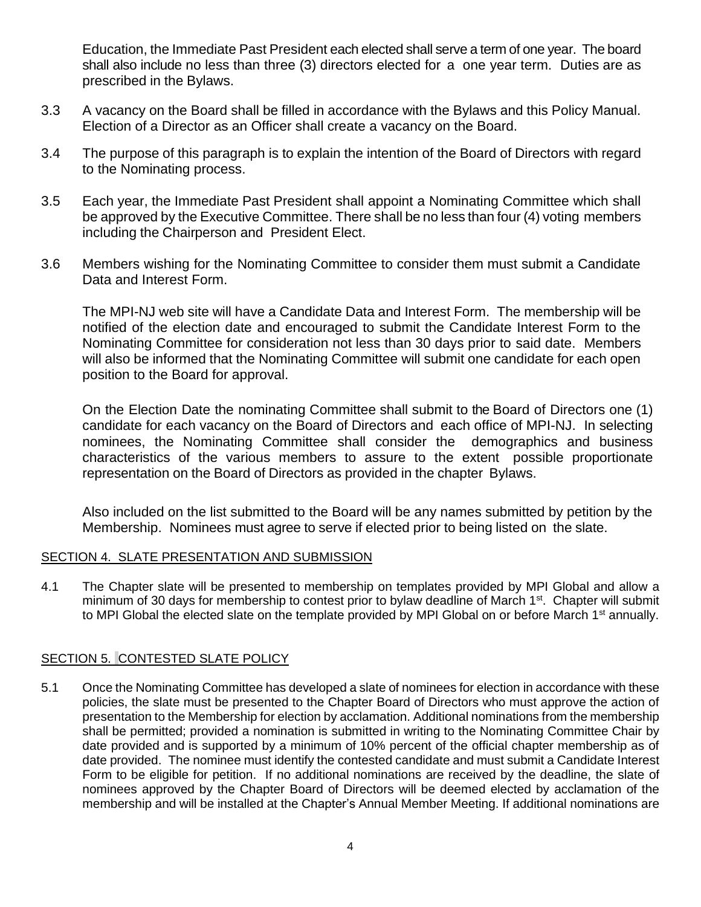Education, the Immediate Past President each elected shall serve a term of one year. The board shall also include no less than three (3) directors elected for a one year term. Duties are as prescribed in the Bylaws.

- 3.3 A vacancy on the Board shall be filled in accordance with the Bylaws and this Policy Manual. Election of a Director as an Officer shall create a vacancy on the Board.
- 3.4 The purpose of this paragraph is to explain the intention of the Board of Directors with regard to the Nominating process.
- 3.5 Each year, the Immediate Past President shall appoint a Nominating Committee which shall be approved by the Executive Committee. There shall be no less than four (4) voting members including the Chairperson and President Elect.
- 3.6 Members wishing for the Nominating Committee to consider them must submit a Candidate Data and Interest Form.

The MPI-NJ web site will have a Candidate Data and Interest Form. The membership will be notified of the election date and encouraged to submit the Candidate Interest Form to the Nominating Committee for consideration not less than 30 days prior to said date. Members will also be informed that the Nominating Committee will submit one candidate for each open position to the Board for approval.

On the Election Date the nominating Committee shall submit to the Board of Directors one (1) candidate for each vacancy on the Board of Directors and each office of MPI-NJ. In selecting nominees, the Nominating Committee shall consider the demographics and business characteristics of the various members to assure to the extent possible proportionate representation on the Board of Directors as provided in the chapter Bylaws.

Also included on the list submitted to the Board will be any names submitted by petition by the Membership. Nominees must agree to serve if elected prior to being listed on the slate.

### SECTION 4. SLATE PRESENTATION AND SUBMISSION

4.1 The Chapter slate will be presented to membership on templates provided by MPI Global and allow a minimum of 30 days for membership to contest prior to bylaw deadline of March 1<sup>st</sup>. Chapter will submit to MPI Global the elected slate on the template provided by MPI Global on or before March 1<sup>st</sup> annually.

## SECTION 5. CONTESTED SLATE POLICY

5.1 Once the Nominating Committee has developed a slate of nominees for election in accordance with these policies, the slate must be presented to the Chapter Board of Directors who must approve the action of presentation to the Membership for election by acclamation. Additional nominations from the membership shall be permitted; provided a nomination is submitted in writing to the Nominating Committee Chair by date provided and is supported by a minimum of 10% percent of the official chapter membership as of date provided. The nominee must identify the contested candidate and must submit a Candidate Interest Form to be eligible for petition. If no additional nominations are received by the deadline, the slate of nominees approved by the Chapter Board of Directors will be deemed elected by acclamation of the membership and will be installed at the Chapter's Annual Member Meeting. If additional nominations are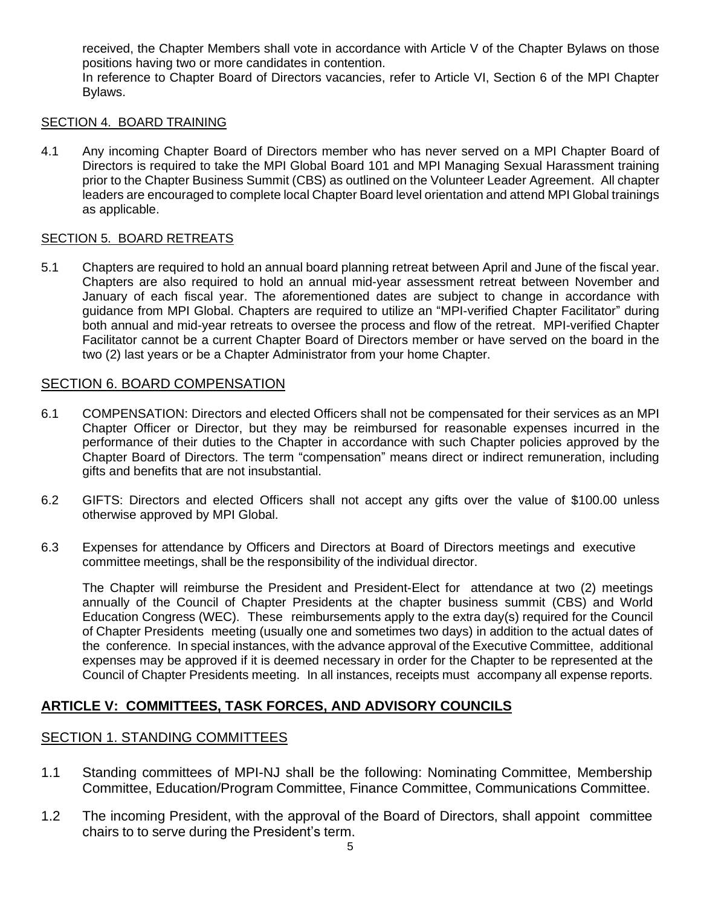received, the Chapter Members shall vote in accordance with Article V of the Chapter Bylaws on those positions having two or more candidates in contention.

In reference to Chapter Board of Directors vacancies, refer to Article VI, Section 6 of the MPI Chapter Bylaws.

### SECTION 4. BOARD TRAINING

4.1 Any incoming Chapter Board of Directors member who has never served on a MPI Chapter Board of Directors is required to take the MPI Global Board 101 and MPI Managing Sexual Harassment training prior to the Chapter Business Summit (CBS) as outlined on the Volunteer Leader Agreement. All chapter leaders are encouraged to complete local Chapter Board level orientation and attend MPI Global trainings as applicable.

## SECTION 5. BOARD RETREATS

5.1 Chapters are required to hold an annual board planning retreat between April and June of the fiscal year. Chapters are also required to hold an annual mid-year assessment retreat between November and January of each fiscal year. The aforementioned dates are subject to change in accordance with guidance from MPI Global. Chapters are required to utilize an "MPI-verified Chapter Facilitator" during both annual and mid-year retreats to oversee the process and flow of the retreat. MPI-verified Chapter Facilitator cannot be a current Chapter Board of Directors member or have served on the board in the two (2) last years or be a Chapter Administrator from your home Chapter.

## SECTION 6. BOARD COMPENSATION

- 6.1 COMPENSATION: Directors and elected Officers shall not be compensated for their services as an MPI Chapter Officer or Director, but they may be reimbursed for reasonable expenses incurred in the performance of their duties to the Chapter in accordance with such Chapter policies approved by the Chapter Board of Directors. The term "compensation" means direct or indirect remuneration, including gifts and benefits that are not insubstantial.
- 6.2 GIFTS: Directors and elected Officers shall not accept any gifts over the value of \$100.00 unless otherwise approved by MPI Global.
- 6.3 Expenses for attendance by Officers and Directors at Board of Directors meetings and executive committee meetings, shall be the responsibility of the individual director.

The Chapter will reimburse the President and President-Elect for attendance at two (2) meetings annually of the Council of Chapter Presidents at the chapter business summit (CBS) and World Education Congress (WEC). These reimbursements apply to the extra day(s) required for the Council of Chapter Presidents meeting (usually one and sometimes two days) in addition to the actual dates of the conference. In special instances, with the advance approval of the Executive Committee, additional expenses may be approved if it is deemed necessary in order for the Chapter to be represented at the Council of Chapter Presidents meeting. In all instances, receipts must accompany all expense reports.

# **ARTICLE V: COMMITTEES, TASK FORCES, AND ADVISORY COUNCILS**

### SECTION 1. STANDING COMMITTEES

- 1.1 Standing committees of MPI-NJ shall be the following: Nominating Committee, Membership Committee, Education/Program Committee, Finance Committee, Communications Committee.
- 1.2 The incoming President, with the approval of the Board of Directors, shall appoint committee chairs to to serve during the President's term.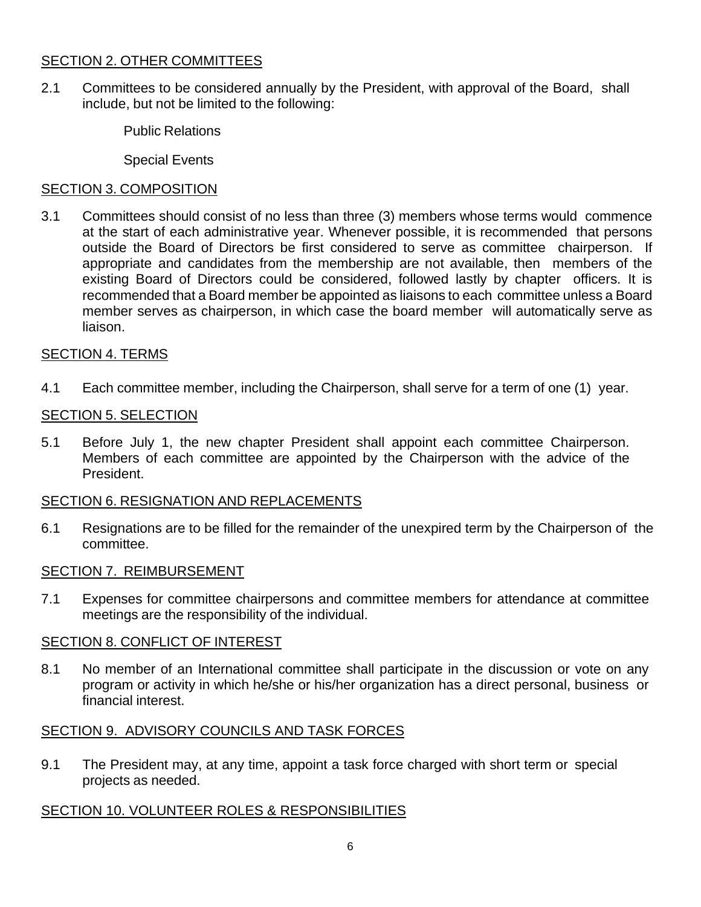# SECTION 2. OTHER COMMITTEES

2.1 Committees to be considered annually by the President, with approval of the Board, shall include, but not be limited to the following:

Public Relations

Special Events

# SECTION 3. COMPOSITION

3.1 Committees should consist of no less than three (3) members whose terms would commence at the start of each administrative year. Whenever possible, it is recommended that persons outside the Board of Directors be first considered to serve as committee chairperson. If appropriate and candidates from the membership are not available, then members of the existing Board of Directors could be considered, followed lastly by chapter officers. It is recommended that a Board member be appointed as liaisons to each committee unless a Board member serves as chairperson, in which case the board member will automatically serve as liaison.

# SECTION 4. TERMS

4.1 Each committee member, including the Chairperson, shall serve for a term of one (1) year.

# SECTION 5. SELECTION

5.1 Before July 1, the new chapter President shall appoint each committee Chairperson. Members of each committee are appointed by the Chairperson with the advice of the President.

## SECTION 6. RESIGNATION AND REPLACEMENTS

6.1 Resignations are to be filled for the remainder of the unexpired term by the Chairperson of the committee.

## SECTION 7. REIMBURSEMENT

7.1 Expenses for committee chairpersons and committee members for attendance at committee meetings are the responsibility of the individual.

## SECTION 8. CONFLICT OF INTEREST

8.1 No member of an International committee shall participate in the discussion or vote on any program or activity in which he/she or his/her organization has a direct personal, business or financial interest.

# SECTION 9. ADVISORY COUNCILS AND TASK FORCES

9.1 The President may, at any time, appoint a task force charged with short term or special projects as needed.

# SECTION 10. VOLUNTEER ROLES & RESPONSIBILITIES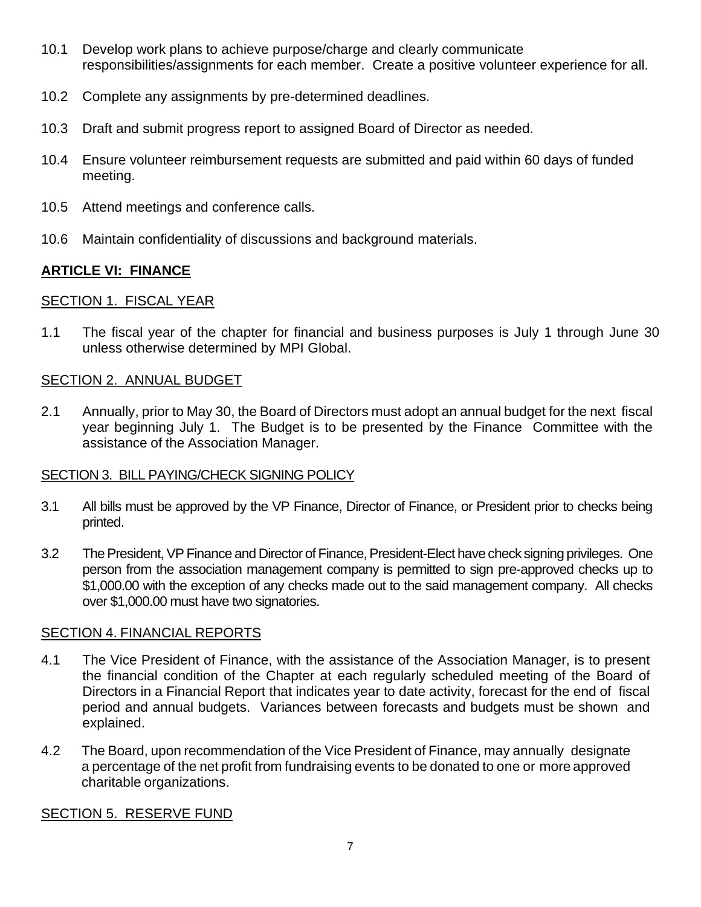- 10.1 Develop work plans to achieve purpose/charge and clearly communicate responsibilities/assignments for each member. Create a positive volunteer experience for all.
- 10.2 Complete any assignments by pre-determined deadlines.
- 10.3 Draft and submit progress report to assigned Board of Director as needed.
- 10.4 Ensure volunteer reimbursement requests are submitted and paid within 60 days of funded meeting.
- 10.5 Attend meetings and conference calls.
- 10.6 Maintain confidentiality of discussions and background materials.

# **ARTICLE VI: FINANCE**

# SECTION 1. FISCAL YEAR

1.1 The fiscal year of the chapter for financial and business purposes is July 1 through June 30 unless otherwise determined by MPI Global.

## SECTION 2. ANNUAL BUDGET

2.1 Annually, prior to May 30, the Board of Directors must adopt an annual budget for the next fiscal year beginning July 1. The Budget is to be presented by the Finance Committee with the assistance of the Association Manager.

# SECTION 3. BILL PAYING/CHECK SIGNING POLICY

- 3.1 All bills must be approved by the VP Finance, Director of Finance, or President prior to checks being printed.
- 3.2 The President, VP Finance and Director of Finance, President-Elect have check signing privileges. One person from the association management company is permitted to sign pre-approved checks up to \$1,000.00 with the exception of any checks made out to the said management company. All checks over \$1,000.00 must have two signatories.

## SECTION 4. FINANCIAL REPORTS

- 4.1 The Vice President of Finance, with the assistance of the Association Manager, is to present the financial condition of the Chapter at each regularly scheduled meeting of the Board of Directors in a Financial Report that indicates year to date activity, forecast for the end of fiscal period and annual budgets. Variances between forecasts and budgets must be shown and explained.
- 4.2 The Board, upon recommendation of the Vice President of Finance, may annually designate a percentage of the net profit from fundraising events to be donated to one or more approved charitable organizations.

## SECTION 5. RESERVE FUND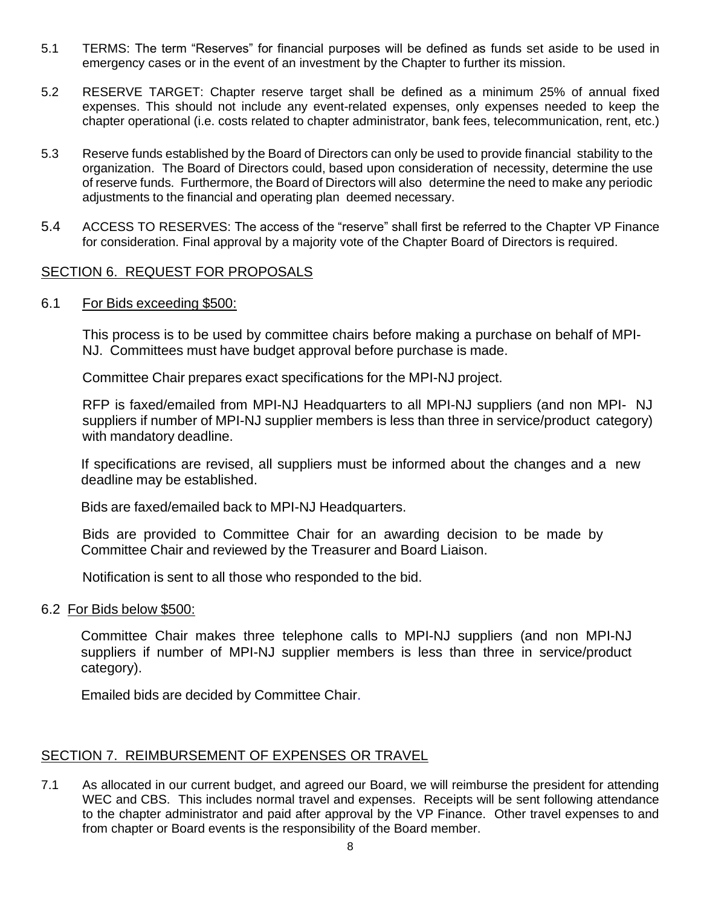- 5.1 TERMS: The term "Reserves" for financial purposes will be defined as funds set aside to be used in emergency cases or in the event of an investment by the Chapter to further its mission.
- 5.2 RESERVE TARGET: Chapter reserve target shall be defined as a minimum 25% of annual fixed expenses. This should not include any event-related expenses, only expenses needed to keep the chapter operational (i.e. costs related to chapter administrator, bank fees, telecommunication, rent, etc.)
- 5.3 Reserve funds established by the Board of Directors can only be used to provide financial stability to the organization. The Board of Directors could, based upon consideration of necessity, determine the use of reserve funds. Furthermore, the Board of Directors will also determine the need to make any periodic adjustments to the financial and operating plan deemed necessary.
- 5.4 ACCESS TO RESERVES: The access of the "reserve" shall first be referred to the Chapter VP Finance for consideration. Final approval by a majority vote of the Chapter Board of Directors is required.

## SECTION 6. REQUEST FOR PROPOSALS

#### 6.1 For Bids exceeding \$500:

This process is to be used by committee chairs before making a purchase on behalf of MPI-NJ. Committees must have budget approval before purchase is made.

Committee Chair prepares exact specifications for the MPI-NJ project.

RFP is faxed/emailed from MPI-NJ Headquarters to all MPI-NJ suppliers (and non MPI- NJ suppliers if number of MPI-NJ supplier members is less than three in service/product category) with mandatory deadline.

If specifications are revised, all suppliers must be informed about the changes and a new deadline may be established.

Bids are faxed/emailed back to MPI-NJ Headquarters.

Bids are provided to Committee Chair for an awarding decision to be made by Committee Chair and reviewed by the Treasurer and Board Liaison.

Notification is sent to all those who responded to the bid.

### 6.2 For Bids below \$500:

Committee Chair makes three telephone calls to MPI-NJ suppliers (and non MPI-NJ suppliers if number of MPI-NJ supplier members is less than three in service/product category).

Emailed bids are decided by Committee Chair.

### SECTION 7. REIMBURSEMENT OF EXPENSES OR TRAVEL

7.1 As allocated in our current budget, and agreed our Board, we will reimburse the president for attending WEC and CBS. This includes normal travel and expenses. Receipts will be sent following attendance to the chapter administrator and paid after approval by the VP Finance. Other travel expenses to and from chapter or Board events is the responsibility of the Board member.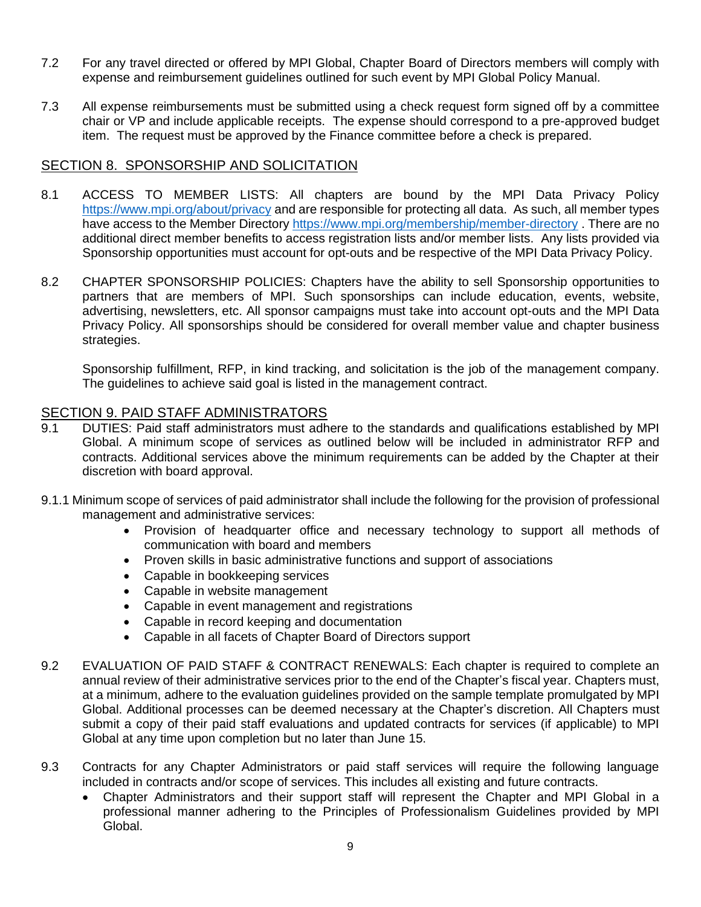- 7.2 For any travel directed or offered by MPI Global, Chapter Board of Directors members will comply with expense and reimbursement guidelines outlined for such event by MPI Global Policy Manual.
- 7.3 All expense reimbursements must be submitted using a check request form signed off by a committee chair or VP and include applicable receipts. The expense should correspond to a pre-approved budget item. The request must be approved by the Finance committee before a check is prepared.

## SECTION 8. SPONSORSHIP AND SOLICITATION

- 8.1 ACCESS TO MEMBER LISTS: All chapters are bound by the MPI Data Privacy Policy <https://www.mpi.org/about/privacy> and are responsible for protecting all data. As such, all member types have access to the Member Directory <https://www.mpi.org/membership/member-directory> . There are no additional direct member benefits to access registration lists and/or member lists. Any lists provided via Sponsorship opportunities must account for opt-outs and be respective of the MPI Data Privacy Policy.
- 8.2 CHAPTER SPONSORSHIP POLICIES: Chapters have the ability to sell Sponsorship opportunities to partners that are members of MPI. Such sponsorships can include education, events, website, advertising, newsletters, etc. All sponsor campaigns must take into account opt-outs and the MPI Data Privacy Policy. All sponsorships should be considered for overall member value and chapter business strategies.

Sponsorship fulfillment, RFP, in kind tracking, and solicitation is the job of the management company. The guidelines to achieve said goal is listed in the management contract.

### SECTION 9. PAID STAFF ADMINISTRATORS

- 9.1 DUTIES: Paid staff administrators must adhere to the standards and qualifications established by MPI Global. A minimum scope of services as outlined below will be included in administrator RFP and contracts. Additional services above the minimum requirements can be added by the Chapter at their discretion with board approval.
- 9.1.1 Minimum scope of services of paid administrator shall include the following for the provision of professional management and administrative services:
	- Provision of headquarter office and necessary technology to support all methods of communication with board and members
	- Proven skills in basic administrative functions and support of associations
	- Capable in bookkeeping services
	- Capable in website management
	- Capable in event management and registrations
	- Capable in record keeping and documentation
	- Capable in all facets of Chapter Board of Directors support
- 9.2 EVALUATION OF PAID STAFF & CONTRACT RENEWALS: Each chapter is required to complete an annual review of their administrative services prior to the end of the Chapter's fiscal year. Chapters must, at a minimum, adhere to the evaluation guidelines provided on the sample template promulgated by MPI Global. Additional processes can be deemed necessary at the Chapter's discretion. All Chapters must submit a copy of their paid staff evaluations and updated contracts for services (if applicable) to MPI Global at any time upon completion but no later than June 15.
- 9.3 Contracts for any Chapter Administrators or paid staff services will require the following language included in contracts and/or scope of services. This includes all existing and future contracts.
	- Chapter Administrators and their support staff will represent the Chapter and MPI Global in a professional manner adhering to the Principles of Professionalism Guidelines provided by MPI Global.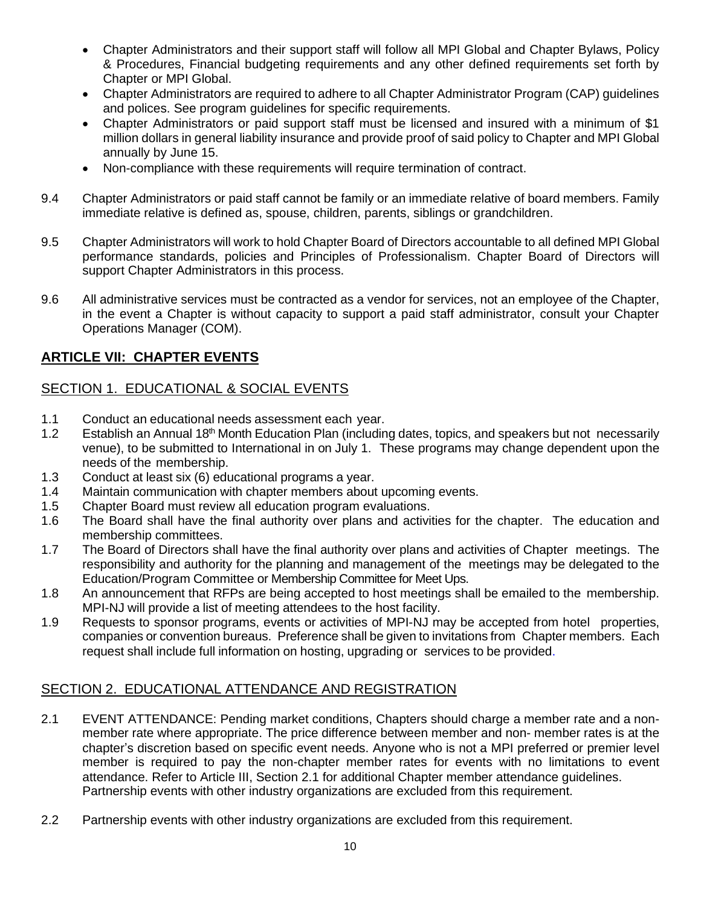- Chapter Administrators and their support staff will follow all MPI Global and Chapter Bylaws, Policy & Procedures, Financial budgeting requirements and any other defined requirements set forth by Chapter or MPI Global.
- Chapter Administrators are required to adhere to all Chapter Administrator Program (CAP) guidelines and polices. See program guidelines for specific requirements.
- Chapter Administrators or paid support staff must be licensed and insured with a minimum of \$1 million dollars in general liability insurance and provide proof of said policy to Chapter and MPI Global annually by June 15.
- Non-compliance with these requirements will require termination of contract.
- 9.4 Chapter Administrators or paid staff cannot be family or an immediate relative of board members. Family immediate relative is defined as, spouse, children, parents, siblings or grandchildren.
- 9.5 Chapter Administrators will work to hold Chapter Board of Directors accountable to all defined MPI Global performance standards, policies and Principles of Professionalism. Chapter Board of Directors will support Chapter Administrators in this process.
- 9.6 All administrative services must be contracted as a vendor for services, not an employee of the Chapter, in the event a Chapter is without capacity to support a paid staff administrator, consult your Chapter Operations Manager (COM).

# **ARTICLE VII: CHAPTER EVENTS**

# SECTION 1. EDUCATIONAL & SOCIAL EVENTS

- 1.1 Conduct an educational needs assessment each year.
- 1.2 Establish an Annual 18<sup>th</sup> Month Education Plan (including dates, topics, and speakers but not necessarily venue), to be submitted to International in on July 1. These programs may change dependent upon the needs of the membership.
- 1.3 Conduct at least six (6) educational programs a year.
- 1.4 Maintain communication with chapter members about upcoming events.
- 1.5 Chapter Board must review all education program evaluations.
- 1.6 The Board shall have the final authority over plans and activities for the chapter. The education and membership committees.
- 1.7 The Board of Directors shall have the final authority over plans and activities of Chapter meetings. The responsibility and authority for the planning and management of the meetings may be delegated to the Education/Program Committee or Membership Committee for Meet Ups.
- 1.8 An announcement that RFPs are being accepted to host meetings shall be emailed to the membership. MPI-NJ will provide a list of meeting attendees to the host facility.
- 1.9 Requests to sponsor programs, events or activities of MPI-NJ may be accepted from hotel properties, companies or convention bureaus. Preference shall be given to invitations from Chapter members. Each request shall include full information on hosting, upgrading or services to be provided.

# SECTION 2. EDUCATIONAL ATTENDANCE AND REGISTRATION

- 2.1 EVENT ATTENDANCE: Pending market conditions, Chapters should charge a member rate and a nonmember rate where appropriate. The price difference between member and non- member rates is at the chapter's discretion based on specific event needs. Anyone who is not a MPI preferred or premier level member is required to pay the non-chapter member rates for events with no limitations to event attendance. Refer to Article III, Section 2.1 for additional Chapter member attendance guidelines. Partnership events with other industry organizations are excluded from this requirement.
- 2.2 Partnership events with other industry organizations are excluded from this requirement.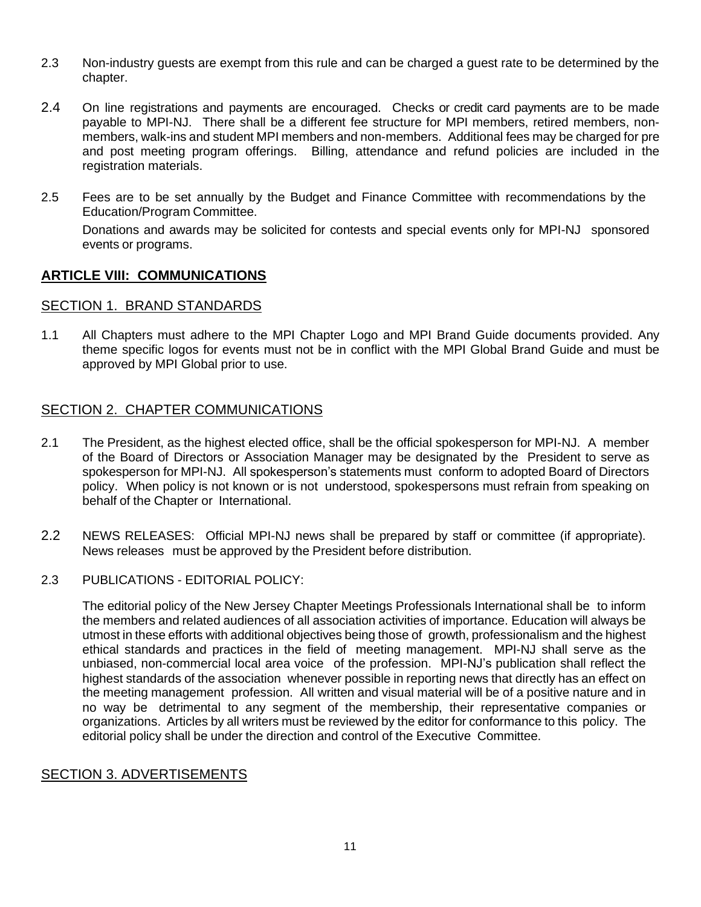- 2.3 Non-industry guests are exempt from this rule and can be charged a guest rate to be determined by the chapter.
- 2.4 On line registrations and payments are encouraged. Checks or credit card payments are to be made payable to MPI-NJ. There shall be a different fee structure for MPI members, retired members, nonmembers, walk-ins and student MPI members and non-members. Additional fees may be charged for pre and post meeting program offerings. Billing, attendance and refund policies are included in the registration materials.
- 2.5 Fees are to be set annually by the Budget and Finance Committee with recommendations by the Education/Program Committee.

Donations and awards may be solicited for contests and special events only for MPI-NJ sponsored events or programs.

## **ARTICLE VIII: COMMUNICATIONS**

### SECTION 1. BRAND STANDARDS

1.1 All Chapters must adhere to the MPI Chapter Logo and MPI Brand Guide documents provided. Any theme specific logos for events must not be in conflict with the MPI Global Brand Guide and must be approved by MPI Global prior to use.

## SECTION 2. CHAPTER COMMUNICATIONS

- 2.1 The President, as the highest elected office, shall be the official spokesperson for MPI-NJ. A member of the Board of Directors or Association Manager may be designated by the President to serve as spokesperson for MPI-NJ. All spokesperson's statements must conform to adopted Board of Directors policy. When policy is not known or is not understood, spokespersons must refrain from speaking on behalf of the Chapter or International.
- 2.2 NEWS RELEASES: Official MPI-NJ news shall be prepared by staff or committee (if appropriate). News releases must be approved by the President before distribution.
- 2.3 PUBLICATIONS EDITORIAL POLICY:

The editorial policy of the New Jersey Chapter Meetings Professionals International shall be to inform the members and related audiences of all association activities of importance. Education will always be utmost in these efforts with additional objectives being those of growth, professionalism and the highest ethical standards and practices in the field of meeting management. MPI-NJ shall serve as the unbiased, non-commercial local area voice of the profession. MPI-NJ's publication shall reflect the highest standards of the association whenever possible in reporting news that directly has an effect on the meeting management profession. All written and visual material will be of a positive nature and in no way be detrimental to any segment of the membership, their representative companies or organizations. Articles by all writers must be reviewed by the editor for conformance to this policy. The editorial policy shall be under the direction and control of the Executive Committee.

### SECTION 3. ADVERTISEMENTS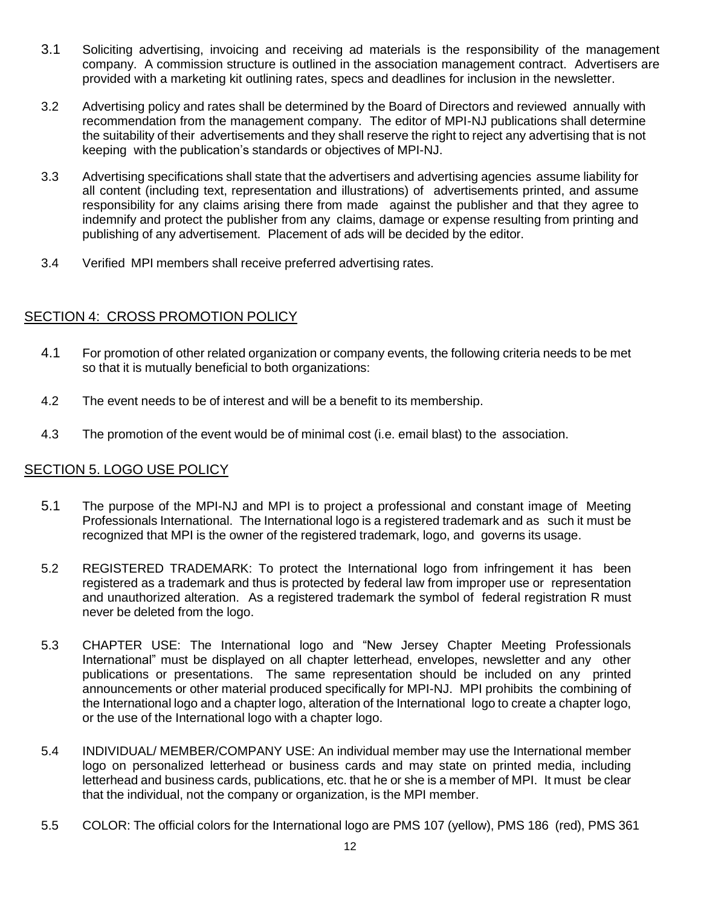- 3.1 Soliciting advertising, invoicing and receiving ad materials is the responsibility of the management company. A commission structure is outlined in the association management contract. Advertisers are provided with a marketing kit outlining rates, specs and deadlines for inclusion in the newsletter.
- 3.2 Advertising policy and rates shall be determined by the Board of Directors and reviewed annually with recommendation from the management company. The editor of MPI-NJ publications shall determine the suitability of their advertisements and they shall reserve the right to reject any advertising that is not keeping with the publication's standards or objectives of MPI-NJ.
- 3.3 Advertising specifications shall state that the advertisers and advertising agencies assume liability for all content (including text, representation and illustrations) of advertisements printed, and assume responsibility for any claims arising there from made against the publisher and that they agree to indemnify and protect the publisher from any claims, damage or expense resulting from printing and publishing of any advertisement. Placement of ads will be decided by the editor.
- 3.4 Verified MPI members shall receive preferred advertising rates.

# SECTION 4: CROSS PROMOTION POLICY

- 4.1 For promotion of other related organization or company events, the following criteria needs to be met so that it is mutually beneficial to both organizations:
- 4.2 The event needs to be of interest and will be a benefit to its membership.
- 4.3 The promotion of the event would be of minimal cost (i.e. email blast) to the association.

# SECTION 5. LOGO USE POLICY

- 5.1 The purpose of the MPI-NJ and MPI is to project a professional and constant image of Meeting Professionals International. The International logo is a registered trademark and as such it must be recognized that MPI is the owner of the registered trademark, logo, and governs its usage.
- 5.2 REGISTERED TRADEMARK: To protect the International logo from infringement it has been registered as a trademark and thus is protected by federal law from improper use or representation and unauthorized alteration. As a registered trademark the symbol of federal registration R must never be deleted from the logo.
- 5.3 CHAPTER USE: The International logo and "New Jersey Chapter Meeting Professionals International" must be displayed on all chapter letterhead, envelopes, newsletter and any other publications or presentations. The same representation should be included on any printed announcements or other material produced specifically for MPI-NJ. MPI prohibits the combining of the International logo and a chapter logo, alteration of the International logo to create a chapter logo, or the use of the International logo with a chapter logo.
- 5.4 INDIVIDUAL/ MEMBER/COMPANY USE: An individual member may use the International member logo on personalized letterhead or business cards and may state on printed media, including letterhead and business cards, publications, etc. that he or she is a member of MPI. It must be clear that the individual, not the company or organization, is the MPI member.
- 5.5 COLOR: The official colors for the International logo are PMS 107 (yellow), PMS 186 (red), PMS 361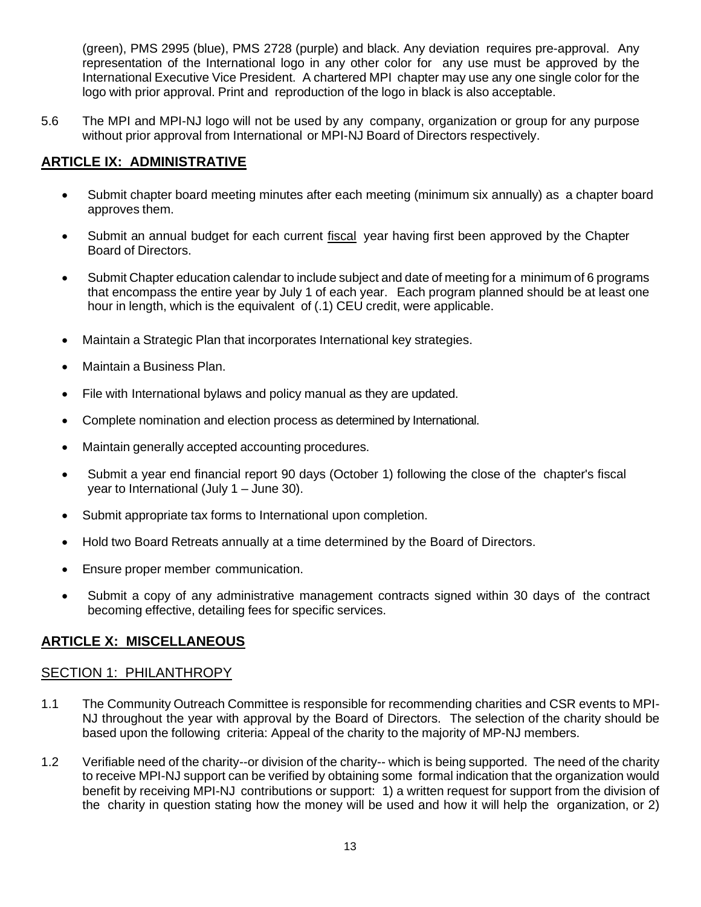(green), PMS 2995 (blue), PMS 2728 (purple) and black. Any deviation requires pre-approval. Any representation of the International logo in any other color for any use must be approved by the International Executive Vice President. A chartered MPI chapter may use any one single color for the logo with prior approval. Print and reproduction of the logo in black is also acceptable.

5.6 The MPI and MPI-NJ logo will not be used by any company, organization or group for any purpose without prior approval from International or MPI-NJ Board of Directors respectively.

# **ARTICLE IX: ADMINISTRATIVE**

- Submit chapter board meeting minutes after each meeting (minimum six annually) as a chapter board approves them.
- Submit an annual budget for each current fiscal year having first been approved by the Chapter Board of Directors.
- Submit Chapter education calendar to include subject and date of meeting for a minimum of 6 programs that encompass the entire year by July 1 of each year. Each program planned should be at least one hour in length, which is the equivalent of (.1) CEU credit, were applicable.
- Maintain a Strategic Plan that incorporates International key strategies.
- Maintain a Business Plan.
- File with International bylaws and policy manual as they are updated.
- Complete nomination and election process as determined by International.
- Maintain generally accepted accounting procedures.
- Submit a year end financial report 90 days (October 1) following the close of the chapter's fiscal year to International (July 1 – June 30).
- Submit appropriate tax forms to International upon completion.
- Hold two Board Retreats annually at a time determined by the Board of Directors.
- Ensure proper member communication.
- Submit a copy of any administrative management contracts signed within 30 days of the contract becoming effective, detailing fees for specific services.

# **ARTICLE X: MISCELLANEOUS**

## SECTION 1: PHILANTHROPY

- 1.1 The Community Outreach Committee is responsible for recommending charities and CSR events to MPI-NJ throughout the year with approval by the Board of Directors. The selection of the charity should be based upon the following criteria: Appeal of the charity to the majority of MP-NJ members.
- 1.2 Verifiable need of the charity--or division of the charity-- which is being supported. The need of the charity to receive MPI-NJ support can be verified by obtaining some formal indication that the organization would benefit by receiving MPI-NJ contributions or support: 1) a written request for support from the division of the charity in question stating how the money will be used and how it will help the organization, or 2)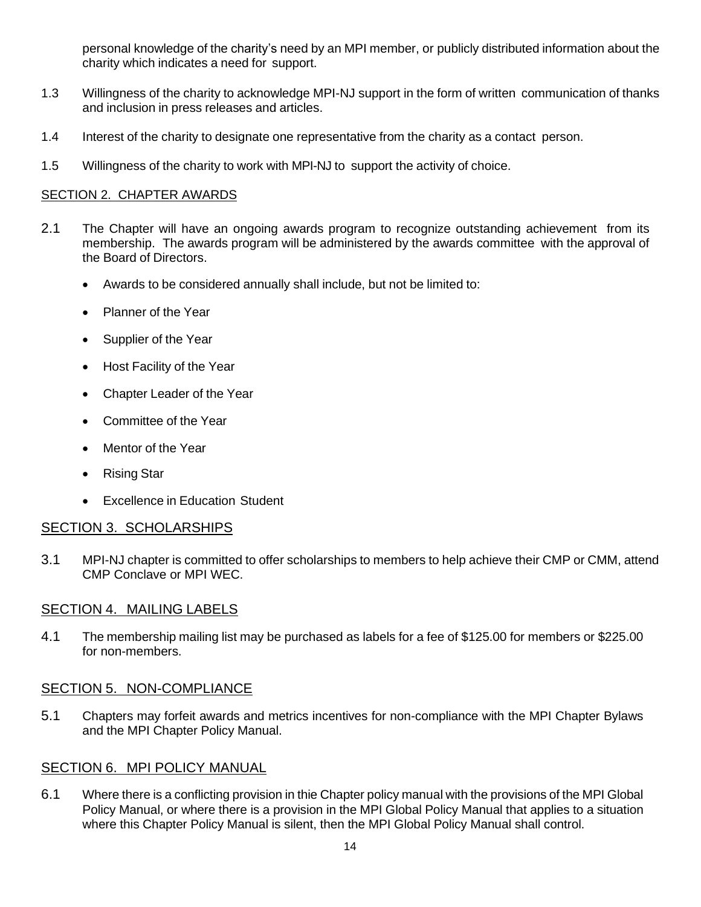personal knowledge of the charity's need by an MPI member, or publicly distributed information about the charity which indicates a need for support.

- 1.3 Willingness of the charity to acknowledge MPI-NJ support in the form of written communication of thanks and inclusion in press releases and articles.
- 1.4 Interest of the charity to designate one representative from the charity as a contact person.
- 1.5 Willingness of the charity to work with MPI-NJ to support the activity of choice.

## SECTION 2. CHAPTER AWARDS

- 2.1 The Chapter will have an ongoing awards program to recognize outstanding achievement from its membership. The awards program will be administered by the awards committee with the approval of the Board of Directors.
	- Awards to be considered annually shall include, but not be limited to:
	- Planner of the Year
	- Supplier of the Year
	- Host Facility of the Year
	- Chapter Leader of the Year
	- Committee of the Year
	- Mentor of the Year
	- Rising Star
	- Excellence in Education Student

### SECTION 3. SCHOLARSHIPS

3.1 MPI-NJ chapter is committed to offer scholarships to members to help achieve their CMP or CMM, attend CMP Conclave or MPI WEC.

## SECTION 4. MAILING LABELS

4.1 The membership mailing list may be purchased as labels for a fee of \$125.00 for members or \$225.00 for non-members.

## SECTION 5. NON-COMPLIANCE

5.1 Chapters may forfeit awards and metrics incentives for non-compliance with the MPI Chapter Bylaws and the MPI Chapter Policy Manual.

### SECTION 6. MPI POLICY MANUAL

6.1 Where there is a conflicting provision in thie Chapter policy manual with the provisions of the MPI Global Policy Manual, or where there is a provision in the MPI Global Policy Manual that applies to a situation where this Chapter Policy Manual is silent, then the MPI Global Policy Manual shall control.